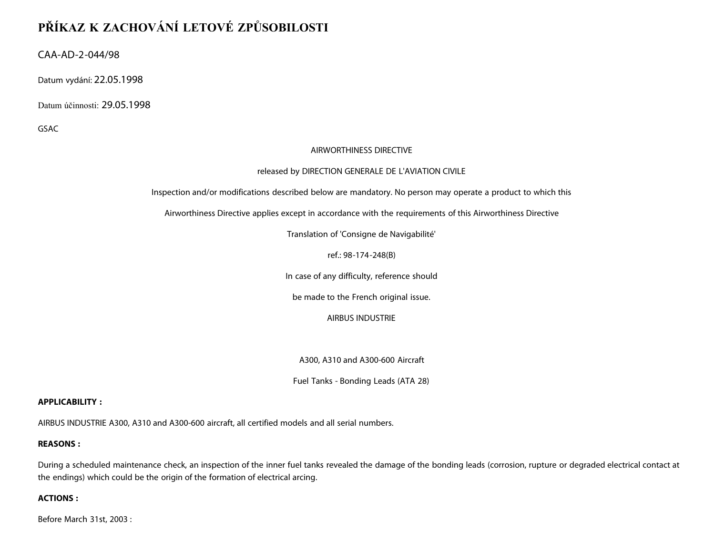# **PŘÍKAZ K ZACHOVÁNÍ LETOVÉ ZPŮSOBILOSTI**

CAA-AD-2-044/98

Datum vydání: 22.05.1998

Datum účinnosti: 29.05.1998

GSAC

## AIRWORTHINESS DIRECTIVE

## released by DIRECTION GENERALE DE L'AVIATION CIVILE

Inspection and/or modifications described below are mandatory. No person may operate a product to which this

Airworthiness Directive applies except in accordance with the requirements of this Airworthiness Directive

Translation of 'Consigne de Navigabilité'

ref.: 98-174-248(B)

In case of any difficulty, reference should

be made to the French original issue.

AIRBUS INDUSTRIE

A300, A310 and A300-600 Aircraft

Fuel Tanks - Bonding Leads (ATA 28)

## **APPLICABILITY :**

AIRBUS INDUSTRIE A300, A310 and A300-600 aircraft, all certified models and all serial numbers.

## **REASONS :**

During a scheduled maintenance check, an inspection of the inner fuel tanks revealed the damage of the bonding leads (corrosion, rupture or degraded electrical contact at the endings) which could be the origin of the formation of electrical arcing.

## **ACTIONS :**

Before March 31st, 2003 :